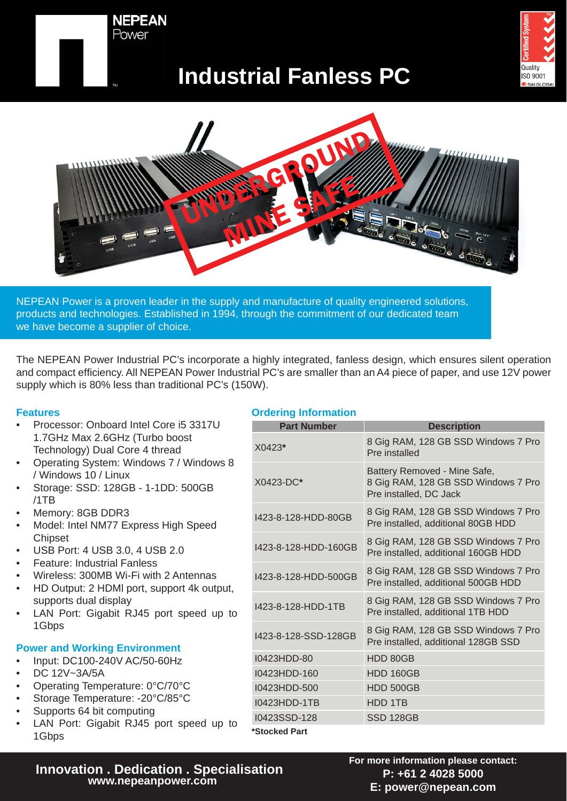



# **Industrial Fanless PC**



NEPEAN Power is a proven leader in the supply and manufacture of quality engineered solutions, products and technologies. Established in 1994, through the commitment of our dedicated team we have become a supplier of choice.

The NEPEAN Power Industrial PC's incorporate a highly integrated, fanless design, which ensures silent operation and compact efficiency. All NEPEAN Power Industrial PC's are smaller than an A4 piece of paper, and use 12V power supply which is 80% less than traditional PC's (150W).

## **Features**

- Processor: Onboard Intel Core i5 3317U 1.7GHz Max 2.6GHz (Turbo boost Technology) Dual Core 4 thread
- Operating System: Windows 7 / Windows 8 / Windows 10 / Linux
- Storage: SSD: 128GB 1-1DD: 500GB /1TB
- Memory: 8GB DDR3
- Model: Intel NM77 Express High Speed **Chipset**
- USB Port: 4 USB 3.0, 4 USB 2.0
- Feature: Industrial Fanless
- Wireless: 300MB Wi-Fi with 2 Antennas
- HD Output: 2 HDMl port, support 4k output, supports dual display
- LAN Port: Gigabit RJ45 port speed up to 1Gbps

## **Power and Working Environment**

- Input: DC100-240V AC/50-60Hz
- DC 12V~3A/5A
- Operating Temperature: 0°C/70°C
- Storage Temperature: -20°C/85°C
- Supports 64 bit computing
- LAN Port: Gigabit RJ45 port speed up to 1Gbps

## **Ordering Information**

| <b>Part Number</b>   | <b>Description</b>                                                                            |
|----------------------|-----------------------------------------------------------------------------------------------|
| $X0423*$             | 8 Gig RAM, 128 GB SSD Windows 7 Pro<br>Pre installed                                          |
| $X0423-DC*$          | Battery Removed - Mine Safe,<br>8 Gig RAM, 128 GB SSD Windows 7 Pro<br>Pre installed, DC Jack |
| 1423-8-128-HDD-80GB  | 8 Gig RAM, 128 GB SSD Windows 7 Pro<br>Pre installed, additional 80GB HDD                     |
| I423-8-128-HDD-160GB | 8 Gig RAM, 128 GB SSD Windows 7 Pro<br>Pre installed, additional 160GB HDD                    |
| 1423-8-128-HDD-500GB | 8 Gig RAM, 128 GB SSD Windows 7 Pro<br>Pre installed, additional 500GB HDD                    |
| 1423-8-128-HDD-1TB   | 8 Gig RAM, 128 GB SSD Windows 7 Pro<br>Pre installed, additional 1TB HDD                      |
| I423-8-128-SSD-128GB | 8 Gig RAM, 128 GB SSD Windows 7 Pro<br>Pre installed, additional 128GB SSD                    |
| I0423HDD-80          | HDD 80GB                                                                                      |
| I0423HDD-160         | <b>HDD 160GB</b>                                                                              |
| I0423HDD-500         | <b>HDD 500GB</b>                                                                              |
| 10423HDD-1TB         | HDD 1TB                                                                                       |
| I0423SSD-128         | SSD 128GB                                                                                     |
| *Stocked Part        |                                                                                               |